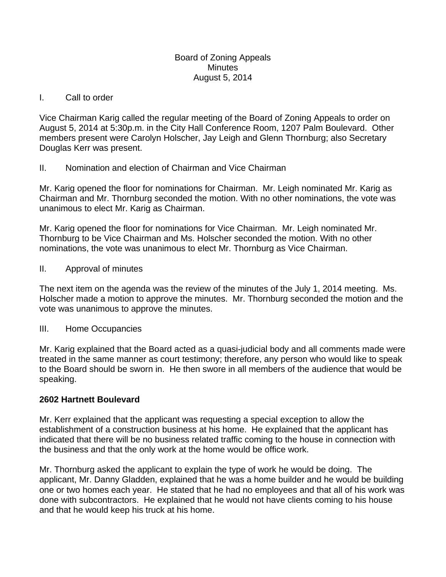### Board of Zoning Appeals **Minutes** August 5, 2014

### I. Call to order

Vice Chairman Karig called the regular meeting of the Board of Zoning Appeals to order on August 5, 2014 at 5:30p.m. in the City Hall Conference Room, 1207 Palm Boulevard. Other members present were Carolyn Holscher, Jay Leigh and Glenn Thornburg; also Secretary Douglas Kerr was present.

# II. Nomination and election of Chairman and Vice Chairman

Mr. Karig opened the floor for nominations for Chairman. Mr. Leigh nominated Mr. Karig as Chairman and Mr. Thornburg seconded the motion. With no other nominations, the vote was unanimous to elect Mr. Karig as Chairman.

Mr. Karig opened the floor for nominations for Vice Chairman. Mr. Leigh nominated Mr. Thornburg to be Vice Chairman and Ms. Holscher seconded the motion. With no other nominations, the vote was unanimous to elect Mr. Thornburg as Vice Chairman.

## II. Approval of minutes

The next item on the agenda was the review of the minutes of the July 1, 2014 meeting. Ms. Holscher made a motion to approve the minutes. Mr. Thornburg seconded the motion and the vote was unanimous to approve the minutes.

### III. Home Occupancies

Mr. Karig explained that the Board acted as a quasi-judicial body and all comments made were treated in the same manner as court testimony; therefore, any person who would like to speak to the Board should be sworn in. He then swore in all members of the audience that would be speaking.

### **2602 Hartnett Boulevard**

Mr. Kerr explained that the applicant was requesting a special exception to allow the establishment of a construction business at his home. He explained that the applicant has indicated that there will be no business related traffic coming to the house in connection with the business and that the only work at the home would be office work.

Mr. Thornburg asked the applicant to explain the type of work he would be doing. The applicant, Mr. Danny Gladden, explained that he was a home builder and he would be building one or two homes each year. He stated that he had no employees and that all of his work was done with subcontractors. He explained that he would not have clients coming to his house and that he would keep his truck at his home.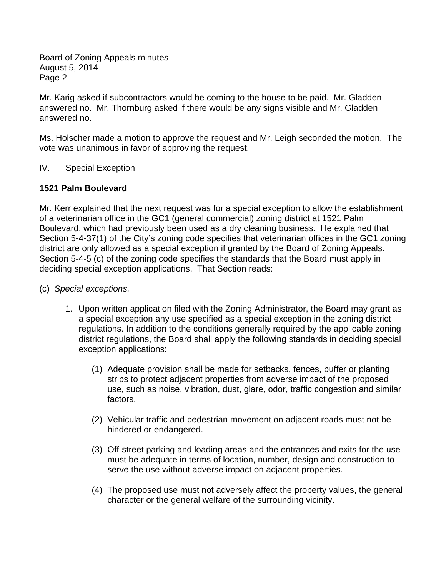Board of Zoning Appeals minutes August 5, 2014 Page 2

Mr. Karig asked if subcontractors would be coming to the house to be paid. Mr. Gladden answered no. Mr. Thornburg asked if there would be any signs visible and Mr. Gladden answered no.

Ms. Holscher made a motion to approve the request and Mr. Leigh seconded the motion. The vote was unanimous in favor of approving the request.

IV. Special Exception

# **1521 Palm Boulevard**

Mr. Kerr explained that the next request was for a special exception to allow the establishment of a veterinarian office in the GC1 (general commercial) zoning district at 1521 Palm Boulevard, which had previously been used as a dry cleaning business. He explained that Section 5-4-37(1) of the City's zoning code specifies that veterinarian offices in the GC1 zoning district are only allowed as a special exception if granted by the Board of Zoning Appeals. Section 5-4-5 (c) of the zoning code specifies the standards that the Board must apply in deciding special exception applications. That Section reads:

- (c) *Special exceptions.* 
	- 1. Upon written application filed with the Zoning Administrator, the Board may grant as a special exception any use specified as a special exception in the zoning district regulations. In addition to the conditions generally required by the applicable zoning district regulations, the Board shall apply the following standards in deciding special exception applications:
		- (1) Adequate provision shall be made for setbacks, fences, buffer or planting strips to protect adjacent properties from adverse impact of the proposed use, such as noise, vibration, dust, glare, odor, traffic congestion and similar factors.
		- (2) Vehicular traffic and pedestrian movement on adjacent roads must not be hindered or endangered.
		- (3) Off-street parking and loading areas and the entrances and exits for the use must be adequate in terms of location, number, design and construction to serve the use without adverse impact on adjacent properties.
		- (4) The proposed use must not adversely affect the property values, the general character or the general welfare of the surrounding vicinity.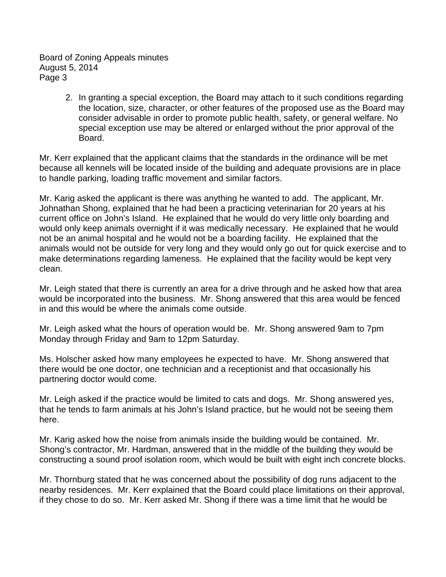Board of Zoning Appeals minutes August 5, 2014 Page 3

> 2. In granting a special exception, the Board may attach to it such conditions regarding the location, size, character, or other features of the proposed use as the Board may consider advisable in order to promote public health, safety, or general welfare. No special exception use may be altered or enlarged without the prior approval of the Board.

Mr. Kerr explained that the applicant claims that the standards in the ordinance will be met because all kennels will be located inside of the building and adequate provisions are in place to handle parking, loading traffic movement and similar factors.

Mr. Karig asked the applicant is there was anything he wanted to add. The applicant, Mr. Johnathan Shong, explained that he had been a practicing veterinarian for 20 years at his current office on John's Island. He explained that he would do very little only boarding and would only keep animals overnight if it was medically necessary. He explained that he would not be an animal hospital and he would not be a boarding facility. He explained that the animals would not be outside for very long and they would only go out for quick exercise and to make determinations regarding lameness. He explained that the facility would be kept very clean.

Mr. Leigh stated that there is currently an area for a drive through and he asked how that area would be incorporated into the business. Mr. Shong answered that this area would be fenced in and this would be where the animals come outside.

Mr. Leigh asked what the hours of operation would be. Mr. Shong answered 9am to 7pm Monday through Friday and 9am to 12pm Saturday.

Ms. Holscher asked how many employees he expected to have. Mr. Shong answered that there would be one doctor, one technician and a receptionist and that occasionally his partnering doctor would come.

Mr. Leigh asked if the practice would be limited to cats and dogs. Mr. Shong answered yes, that he tends to farm animals at his John's Island practice, but he would not be seeing them here.

Mr. Karig asked how the noise from animals inside the building would be contained. Mr. Shong's contractor, Mr. Hardman, answered that in the middle of the building they would be constructing a sound proof isolation room, which would be built with eight inch concrete blocks.

Mr. Thornburg stated that he was concerned about the possibility of dog runs adjacent to the nearby residences. Mr. Kerr explained that the Board could place limitations on their approval, if they chose to do so. Mr. Kerr asked Mr. Shong if there was a time limit that he would be